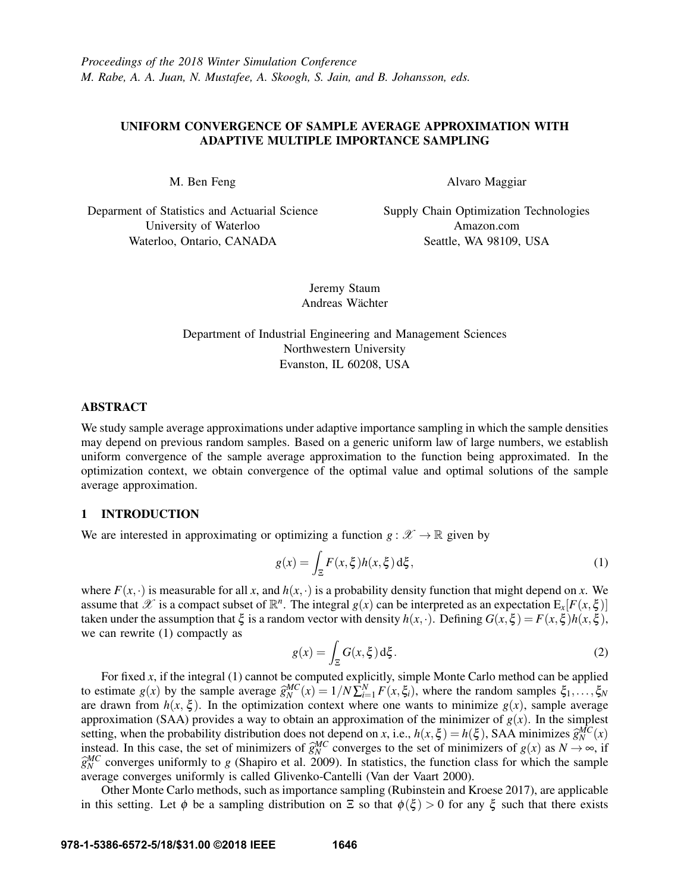# UNIFORM CONVERGENCE OF SAMPLE AVERAGE APPROXIMATION WITH ADAPTIVE MULTIPLE IMPORTANCE SAMPLING

M. Ben Feng

Alvaro Maggiar

Deparment of Statistics and Actuarial Science University of Waterloo Waterloo, Ontario, CANADA

Supply Chain Optimization Technologies Amazon.com Seattle, WA 98109, USA

Jeremy Staum Andreas Wächter

Department of Industrial Engineering and Management Sciences Northwestern University Evanston, IL 60208, USA

## ABSTRACT

We study sample average approximations under adaptive importance sampling in which the sample densities may depend on previous random samples. Based on a generic uniform law of large numbers, we establish uniform convergence of the sample average approximation to the function being approximated. In the optimization context, we obtain convergence of the optimal value and optimal solutions of the sample average approximation.

## 1 INTRODUCTION

We are interested in approximating or optimizing a function  $g: \mathscr{X} \to \mathbb{R}$  given by

$$
g(x) = \int_{\Xi} F(x,\xi)h(x,\xi) d\xi,
$$
 (1)

where  $F(x, \cdot)$  is measurable for all *x*, and  $h(x, \cdot)$  is a probability density function that might depend on *x*. We assume that  $\mathscr X$  is a compact subset of  $\mathbb R^n$ . The integral  $g(x)$  can be interpreted as an expectation  $E_x[F(x, \xi)]$ taken under the assumption that  $\xi$  is a random vector with density  $h(x, \cdot)$ . Defining  $G(x, \xi) = F(x, \xi)h(x, \xi)$ , we can rewrite (1) compactly as

$$
g(x) = \int_{\Xi} G(x, \xi) d\xi.
$$
 (2)

For fixed *x*, if the integral (1) cannot be computed explicitly, simple Monte Carlo method can be applied to estimate  $g(x)$  by the sample average  $\hat{g}_{N}^{MC}(x) = 1/N \sum_{i=1}^{N} F(x, \xi_i)$ , where the random samples  $\xi_1, \ldots, \xi_N$ <br>are drawn from  $h(x, \xi)$ . In the optimization context where one wants to minimize  $g(x)$  sample average are drawn from  $h(x, \xi)$ . In the optimization context where one wants to minimize  $g(x)$ , sample average approximation (SAA) provides a way to obtain an approximation of the minimizer of  $g(x)$ . In the simplest setting, when the probability distribution does not depend on *x*, i.e.,  $h(x,\xi) = h(\xi)$ , SAA minimizes  $\hat{g}_{N}^{MC}(x)$ <br>instead. In this case, the set of minimizers of  $\hat{\alpha}^{MC}$  converges to the set of minimizers of  $g(x)$  as instead. In this case, the set of minimizers of  $\hat{g}_{N}^{MC}$  converges to the set of minimizers of  $g(x)$  as  $N \to \infty$ , if  $\hat{g}_{N}^{MC}$  converges uniformly to *g* (Shapiro et al. 2009). In statistics, the function class for which the sample<br>average converges uniformly is called Glivenko-Cantelli (Van der Vaart 2000) average converges uniformly is called Glivenko-Cantelli (Van der Vaart 2000).

Other Monte Carlo methods, such as importance sampling (Rubinstein and Kroese 2017), are applicable in this setting. Let  $\phi$  be a sampling distribution on  $\Xi$  so that  $\phi(\xi) > 0$  for any  $\xi$  such that there exists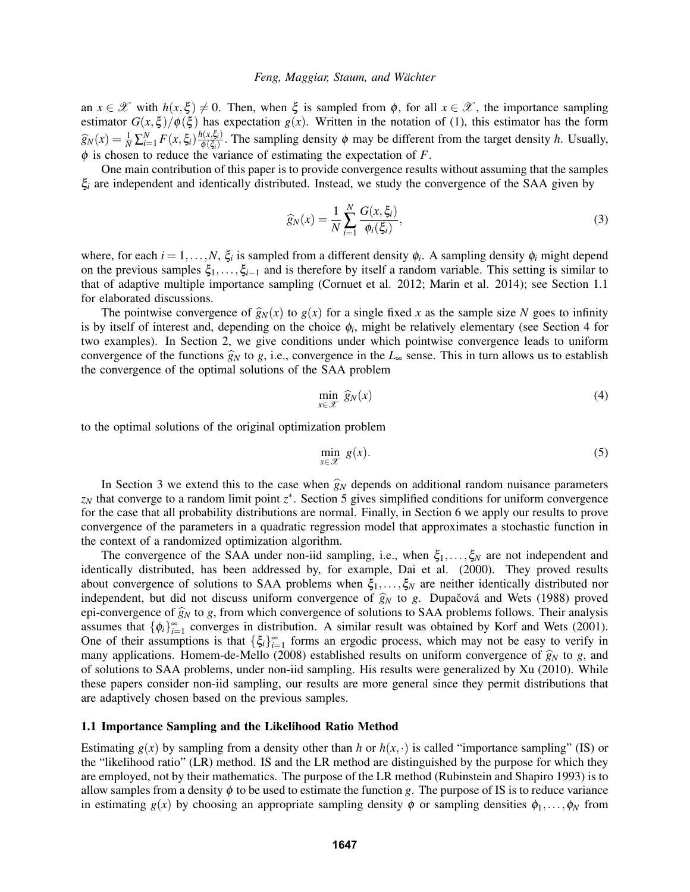an  $x \in \mathcal{X}$  with  $h(x,\xi) \neq 0$ . Then, when  $\xi$  is sampled from  $\phi$ , for all  $x \in \mathcal{X}$ , the importance sampling estimator  $G(x,\xi)/\phi(\xi)$  has expectation  $g(x)$ . Written in the notation of (1), this estimator has the form  $\widehat{g}_N(x) = \frac{1}{N} \sum_{i=1}^N F(x, \xi_i) \frac{h(x, \xi_i)}{\phi(\xi_i)}$  $\frac{\partial(x,\varsigma_i)}{\phi(\xi_i)}$ . The sampling density  $\phi$  may be different from the target density *h*. Usually,  $\phi$  is chosen to reduce the variance of estimating the expectation of  $F$ .

One main contribution of this paper is to provide convergence results without assuming that the samples ξ*<sup>i</sup>* are independent and identically distributed. Instead, we study the convergence of the SAA given by

$$
\widehat{g}_N(x) = \frac{1}{N} \sum_{i=1}^N \frac{G(x, \xi_i)}{\phi_i(\xi_i)},\tag{3}
$$

where, for each  $i = 1, ..., N$ ,  $\xi_i$  is sampled from a different density  $\phi_i$ . A sampling density  $\phi_i$  might depend on the previous samples ξ1,...,ξ*i*−<sup>1</sup> and is therefore by itself a random variable. This setting is similar to that of adaptive multiple importance sampling (Cornuet et al. 2012; Marin et al. 2014); see Section 1.1 for elaborated discussions.

The pointwise convergence of  $\hat{g}_N(x)$  to  $g(x)$  for a single fixed x as the sample size N goes to infinity is by itself of interest and, depending on the choice  $\phi_i$ , might be relatively elementary (see Section 4 for two examples). In Section 2, we give conditions under which pointwise convergence leads to uniform convergence of the functions  $\hat{g}_N$  to *g*, i.e., convergence in the  $L_{\infty}$  sense. This in turn allows us to establish the convergence of the optimal solutions of the SAA problem

$$
\min_{x \in \mathcal{X}} \widehat{g}_N(x) \tag{4}
$$

to the optimal solutions of the original optimization problem

$$
\min_{x \in \mathcal{X}} g(x). \tag{5}
$$

In Section 3 we extend this to the case when  $\hat{g}_N$  depends on additional random nuisance parameters *z<sup>N</sup>* that converge to a random limit point *z* ∗ . Section 5 gives simplified conditions for uniform convergence for the case that all probability distributions are normal. Finally, in Section 6 we apply our results to prove convergence of the parameters in a quadratic regression model that approximates a stochastic function in the context of a randomized optimization algorithm.

The convergence of the SAA under non-iid sampling, i.e., when  $\xi_1,\ldots,\xi_N$  are not independent and identically distributed, has been addressed by, for example, Dai et al. (2000). They proved results about convergence of solutions to SAA problems when  $\xi_1,\ldots,\xi_N$  are neither identically distributed nor independent, but did not discuss uniform convergence of  $\hat{g}_N$  to *g*. Dupačová and Wets (1988) proved epi-convergence of  $\hat{g}_N$  to *g*, from which convergence of solutions to SAA problems follows. Their analysis assumes that  $\{\phi_i\}_{i=1}^{\infty}$  converges in distribution. A similar result was obtained by Korf and Wets (2001). One of their assumptions is that  $\{\xi_i\}_{i=1}^{\infty}$  forms an ergodic process, which may not be easy to verify in many applications. Homem-de-Mello (2008) established results on uniform convergence of  $\hat{g}_N$  to *g*, and of solutions to SAA problems, under non-iid sampling. His results were generalized by Xu (2010). While these papers consider non-iid sampling, our results are more general since they permit distributions that are adaptively chosen based on the previous samples.

## 1.1 Importance Sampling and the Likelihood Ratio Method

Estimating  $g(x)$  by sampling from a density other than *h* or  $h(x, \cdot)$  is called "importance sampling" (IS) or the "likelihood ratio" (LR) method. IS and the LR method are distinguished by the purpose for which they are employed, not by their mathematics. The purpose of the LR method (Rubinstein and Shapiro 1993) is to allow samples from a density  $\phi$  to be used to estimate the function *g*. The purpose of IS is to reduce variance in estimating  $g(x)$  by choosing an appropriate sampling density  $\phi$  or sampling densities  $\phi_1, \ldots, \phi_N$  from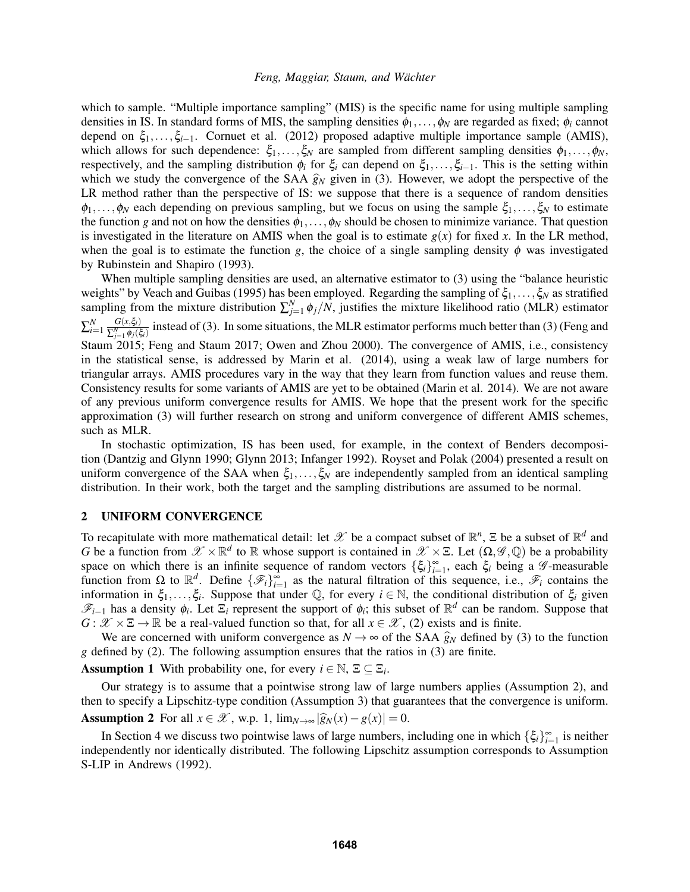which to sample. "Multiple importance sampling" (MIS) is the specific name for using multiple sampling densities in IS. In standard forms of MIS, the sampling densities  $\phi_1,\ldots,\phi_N$  are regarded as fixed;  $\phi_i$  cannot depend on ξ<sub>1</sub>,...,ξ<sub>*i*−1</sub>. Cornuet et al. (2012) proposed adaptive multiple importance sample (AMIS), which allows for such dependence:  $\xi_1,\ldots,\xi_N$  are sampled from different sampling densities  $\phi_1,\ldots,\phi_N$ , respectively, and the sampling distribution φ*<sup>i</sup>* for ξ*<sup>i</sup>* can depend on ξ1,...,ξ*i*−1. This is the setting within which we study the convergence of the SAA  $\hat{g}_N$  given in (3). However, we adopt the perspective of the LR method rather than the perspective of IS: we suppose that there is a sequence of random densities  $\phi_1,\ldots,\phi_N$  each depending on previous sampling, but we focus on using the sample  $\xi_1,\ldots,\xi_N$  to estimate the function *g* and not on how the densities  $\phi_1, \ldots, \phi_N$  should be chosen to minimize variance. That question is investigated in the literature on AMIS when the goal is to estimate  $g(x)$  for fixed x. In the LR method, when the goal is to estimate the function *g*, the choice of a single sampling density  $\phi$  was investigated by Rubinstein and Shapiro (1993).

When multiple sampling densities are used, an alternative estimator to (3) using the "balance heuristic weights" by Veach and Guibas (1995) has been employed. Regarding the sampling of  $\xi_1,\ldots,\xi_N$  as stratified sampling from the mixture distribution  $\sum_{j=1}^{N} \phi_j / N$ , justifies the mixture likelihood ratio (MLR) estimator  $\sum_{i=1}^{N} \frac{G(x,\xi_i)}{\sum_{j=1}^{N} \phi_j(\xi_j)}$  $\frac{G(x, \zeta_i)}{\sum_{j=1}^{N} \phi_j(\zeta_i)}$  instead of (3). In some situations, the MLR estimator performs much better than (3) (Feng and Staum 2015; Feng and Staum 2017; Owen and Zhou 2000). The convergence of AMIS, i.e., consistency in the statistical sense, is addressed by Marin et al. (2014), using a weak law of large numbers for triangular arrays. AMIS procedures vary in the way that they learn from function values and reuse them. Consistency results for some variants of AMIS are yet to be obtained (Marin et al. 2014). We are not aware of any previous uniform convergence results for AMIS. We hope that the present work for the specific approximation (3) will further research on strong and uniform convergence of different AMIS schemes, such as MLR.

In stochastic optimization, IS has been used, for example, in the context of Benders decomposition (Dantzig and Glynn 1990; Glynn 2013; Infanger 1992). Royset and Polak (2004) presented a result on uniform convergence of the SAA when  $\xi_1,\ldots,\xi_N$  are independently sampled from an identical sampling distribution. In their work, both the target and the sampling distributions are assumed to be normal.

### 2 UNIFORM CONVERGENCE

To recapitulate with more mathematical detail: let  $\mathscr X$  be a compact subset of  $\mathbb R^n$ ,  $\Xi$  be a subset of  $\mathbb R^d$  and *G* be a function from  $\mathscr{X} \times \mathbb{R}^d$  to  $\mathbb R$  whose support is contained in  $\mathscr{X} \times \mathbb{E}$ . Let  $(\Omega, \mathscr{G}, \mathbb{Q})$  be a probability space on which there is an infinite sequence of random vectors  $\{\xi_i\}_{i=1}^{\infty}$ , each  $\xi_i$  being a  $\mathcal G$ -measurable function from  $\Omega$  to  $\mathbb{R}^d$ . Define  $\{\mathscr{F}_i\}_{i=1}^{\infty}$  as the natural filtration of this sequence, i.e.,  $\mathscr{F}_i$  contains the information in  $\xi_1,\ldots,\xi_i$ . Suppose that under  $\mathbb Q$ , for every  $i \in \mathbb N$ , the conditional distribution of  $\xi_i$  given  $\mathscr{F}_{i-1}$  has a density  $\phi_i$ . Let  $\Xi_i$  represent the support of  $\phi_i$ ; this subset of  $\mathbb{R}^d$  can be random. Suppose that *G* :  $\mathcal{X} \times \Xi \rightarrow \mathbb{R}$  be a real-valued function so that, for all  $x \in \mathcal{X}$ , (2) exists and is finite.

We are concerned with uniform convergence as  $N \to \infty$  of the SAA  $\hat{g}_N$  defined by (3) to the function *g* defined by (2). The following assumption ensures that the ratios in (3) are finite.

**Assumption 1** With probability one, for every  $i \in \mathbb{N}$ ,  $\Xi \subseteq \Xi_i$ .

Our strategy is to assume that a pointwise strong law of large numbers applies (Assumption 2), and then to specify a Lipschitz-type condition (Assumption 3) that guarantees that the convergence is uniform. Assumption 2 For all  $x \in \mathcal{X}$ , w.p. 1,  $\lim_{N \to \infty} |\widehat{g}_N(x) - g(x)| = 0$ .

In Section 4 we discuss two pointwise laws of large numbers, including one in which  $\{\xi_i\}_{i=1}^{\infty}$  is neither independently nor identically distributed. The following Lipschitz assumption corresponds to Assumption S-LIP in Andrews (1992).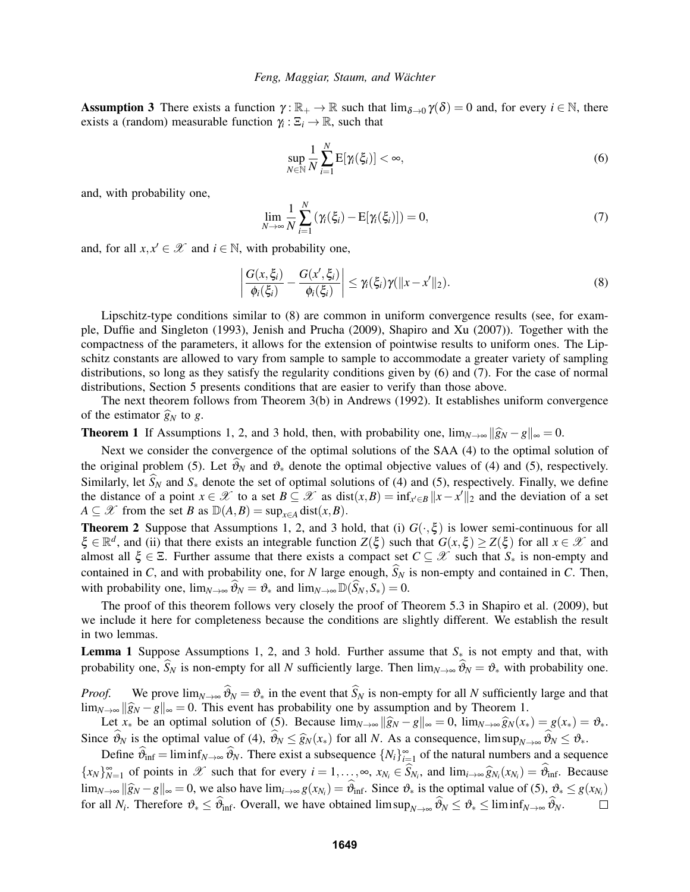**Assumption 3** There exists a function  $\gamma : \mathbb{R}_+ \to \mathbb{R}$  such that  $\lim_{\delta \to 0} \gamma(\delta) = 0$  and, for every  $i \in \mathbb{N}$ , there exists a (random) measurable function  $\gamma_i : \Xi_i \to \mathbb{R}$ , such that

$$
\sup_{N \in \mathbb{N}} \frac{1}{N} \sum_{i=1}^{N} \mathbf{E}[\gamma_i(\xi_i)] < \infty,\tag{6}
$$

and, with probability one,

$$
\lim_{N \to \infty} \frac{1}{N} \sum_{i=1}^{N} \left( \gamma_i(\xi_i) - \mathbb{E}[\gamma_i(\xi_i)] \right) = 0,\tag{7}
$$

and, for all  $x, x' \in \mathcal{X}$  and  $i \in \mathbb{N}$ , with probability one,

$$
\left|\frac{G(x,\xi_i)}{\phi_i(\xi_i)}-\frac{G(x',\xi_i)}{\phi_i(\xi_i)}\right|\leq \gamma_i(\xi_i)\gamma(\|x-x'\|_2). \tag{8}
$$

Lipschitz-type conditions similar to (8) are common in uniform convergence results (see, for example, Duffie and Singleton (1993), Jenish and Prucha (2009), Shapiro and Xu (2007)). Together with the compactness of the parameters, it allows for the extension of pointwise results to uniform ones. The Lipschitz constants are allowed to vary from sample to sample to accommodate a greater variety of sampling distributions, so long as they satisfy the regularity conditions given by (6) and (7). For the case of normal distributions, Section 5 presents conditions that are easier to verify than those above.

The next theorem follows from Theorem 3(b) in Andrews (1992). It establishes uniform convergence of the estimator  $\hat{g}_N$  to *g*.

**Theorem 1** If Assumptions 1, 2, and 3 hold, then, with probability one,  $\lim_{N\to\infty} ||\hat{g}_N - g||_{\infty} = 0$ .

Next we consider the convergence of the optimal solutions of the SAA (4) to the optimal solution of the original problem (5). Let  $\vartheta_N$  and  $\vartheta_*$  denote the optimal objective values of (4) and (5), respectively. Similarly, let  $\hat{S}_N$  and  $S_*$  denote the set of optimal solutions of (4) and (5), respectively. Finally, we define the distance of a point  $x \in \mathcal{X}$  to a set  $B \subseteq \mathcal{X}$  as  $dist(x, B) = inf_{x' \in B} ||x - x'||_2$  and the deviation of a set  $A \subseteq \mathcal{X}$  from the set *B* as  $\mathbb{D}(A, B) = \sup_{x \in A} \text{dist}(x, B)$ .

**Theorem 2** Suppose that Assumptions 1, 2, and 3 hold, that (i)  $G(\cdot,\xi)$  is lower semi-continuous for all  $\xi \in \mathbb{R}^d$ , and (ii) that there exists an integrable function  $Z(\xi)$  such that  $G(x,\xi) \geq Z(\xi)$  for all  $x \in \mathcal{X}$  and almost all  $\xi \in \Xi$ . Further assume that there exists a compact set  $C \subseteq \mathcal{X}$  such that  $S^*$  is non-empty and contained in *C*, and with probability one, for *N* large enough,  $\hat{S}_N$  is non-empty and contained in *C*. Then, with probability one,  $\lim_{N\to\infty} \hat{\vartheta}_N = \vartheta_*$  and  $\lim_{N\to\infty} \mathbb{D}(\hat{S}_N, S_*) = 0$ .

The proof of this theorem follows very closely the proof of Theorem 5.3 in Shapiro et al. (2009), but we include it here for completeness because the conditions are slightly different. We establish the result in two lemmas.

Lemma 1 Suppose Assumptions 1, 2, and 3 hold. Further assume that *S*<sup>∗</sup> is not empty and that, with probability one,  $\widehat{S}_N$  is non-empty for all *N* sufficiently large. Then  $\lim_{N\to\infty} \widehat{\vartheta}_N = \vartheta_*$  with probability one.

*Proof.* We prove  $\lim_{N\to\infty} \widehat{\vartheta}_N = \vartheta_*$  in the event that  $\widehat{S}_N$  is non-empty for all *N* sufficiently large and that lim<sub>*N*→∞</sub>  $\|\hat{g}_N - g\|_{\infty} = 0$ . This event has probability one by assumption and by Theorem 1.

Let  $x_*$  be an optimal solution of (5). Because  $\lim_{N\to\infty} \|\widehat{g}_N - g\|_{\infty} = 0$ ,  $\lim_{N\to\infty} \widehat{g}_N(x_*) = g(x_*) = \vartheta_*$ . Since  $\widehat{\vartheta}_N$  is the optimal value of (4),  $\widehat{\vartheta}_N \leq \widehat{g}_N(x_*)$  for all *N*. As a consequence, lim sup $_{N\to\infty} \widehat{\vartheta}_N \leq \vartheta_*$ .

Define  $\hat{\theta}_{\text{inf}} = \liminf_{N \to \infty} \hat{\theta}_N$ . There exist a subsequence  $\{N_i\}_{i=1}^{\infty}$  of the natural numbers and a sequence  ${x_N}_{N=1}^{\infty}$  of points in  $\mathscr X$  such that for every  $i = 1, ..., \infty$ ,  $x_{N_i} \in S_{N_i}$ , and  $\lim_{i \to \infty} \widehat{g}_{N_i}(x_{N_i}) = \widehat{\vartheta}_{\inf}$ . Because lim<sub>*N*→∞</sub>  $\|\hat{g}_N - g\|_{\infty} = 0$ , we also have lim<sub>*i→∞ g*(*x<sub>N<i>i*</sub></sub>) =  $\vartheta_{\text{inf}}$ . Since  $\vartheta_*$  is the optimal value of (5),  $\vartheta_* \leq g(x_{N_i})$ </sub> for all *N<sub>i</sub>*. Therefore  $\vartheta_* \leq \vartheta_{\text{inf}}$ . Overall, we have obtained  $\limsup_{N \to \infty} \vartheta_N \leq \vartheta_* \leq \liminf_{N \to \infty} \vartheta_N$ .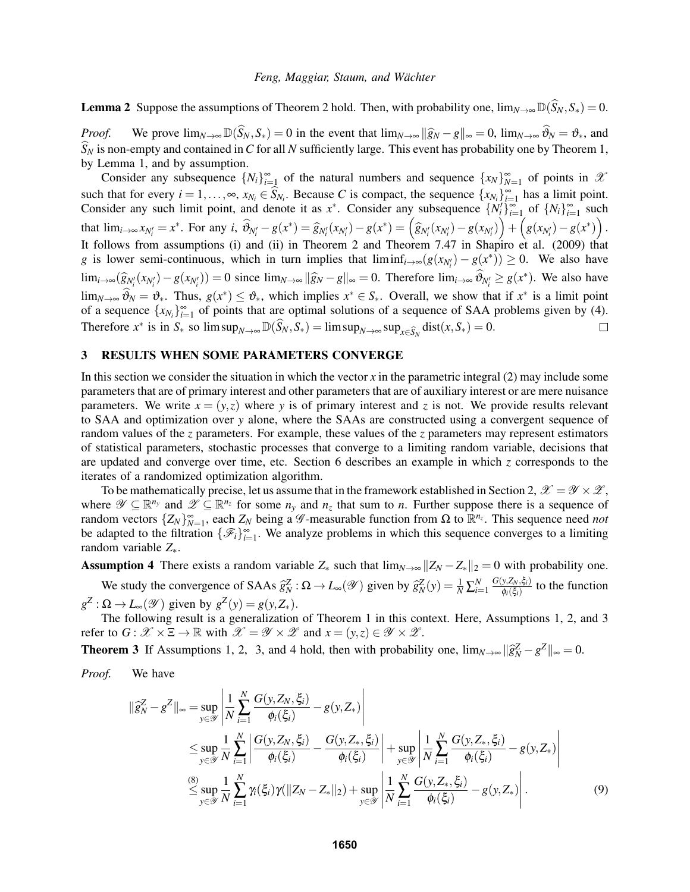**Lemma 2** Suppose the assumptions of Theorem 2 hold. Then, with probability one,  $\lim_{N\to\infty} \mathbb{D}(\widehat{S}_N, S_*) = 0$ .

*Proof.* We prove  $\lim_{N\to\infty} \mathbb{D}(\widehat{S}_N, S_*) = 0$  in the event that  $\lim_{N\to\infty} \|\widehat{g}_N - g\|_{\infty} = 0$ ,  $\lim_{N\to\infty} \widehat{\vartheta}_N = \vartheta_*$ , and  $\widehat{S}_N$  is non-empty and contained in C for all N sufficiently large. This event has probability one by Theorem 1, by Lemma 1, and by assumption.

Consider any subsequence  $\{N_i\}_{i=1}^{\infty}$  of the natural numbers and sequence  $\{x_N\}_{N=1}^{\infty}$  of points in  $\mathcal{X}$ such that for every  $i = 1, ..., \infty$ ,  $x_{N_i} \in S_{N_i}$ . Because *C* is compact, the sequence  $\{x_{N_i}\}_{i=1}^{\infty}$  has a limit point. Consider any such limit point, and denote it as  $x^*$ . Consider any subsequence  $\{N_i'\}_{i=1}^\infty$  of  $\{N_i\}_{i=1}^\infty$  such that  $\lim_{i \to \infty} x_{N'_i} = x^*$ . For any  $i$ ,  $\widehat{\vartheta}_{N'_i} - g(x^*) = \widehat{g}_{N'_i}(x_{N'_i}) - g(x^*) = (\widehat{g}_{N'_i}(x_{N'_i}) - g(x_{N'_i})) + (g(x_{N'_i}) - g(x^*))$ . It follows from assumptions (i) and (ii) in Theorem 2 and Theorem 7.47 in Shapiro et al. (2009) that *g* is lower semi-continuous, which in turn implies that  $\liminf_{i\to\infty}(g(x_{N_i'})-g(x^*))\geq 0$ . We also have  $\lim_{i \to \infty} (\widehat{g}_{N_i'}(x_{N_i'}) - g(x_{N_i'})) = 0$  since  $\lim_{N \to \infty} ||\widehat{g}_N - g||_{\infty} = 0$ . Therefore  $\lim_{i \to \infty} \widehat{\vartheta}_{N_i'} \ge g(x^*)$ . We also have lim<sub>*N*→∞</sub>  $\widehat{\theta}_N = \vartheta_*$ . Thus,  $g(x^*) \leq \vartheta_*$ , which implies  $x^* \in S_*$ . Overall, we show that if  $x^*$  is a limit point of a sequence  $\{x_{N_i}\}_{i=1}^{\infty}$  of points that are optimal solutions of a sequence of SAA problems given by (4). Therefore  $x^*$  is in  $S_*$  so lim  $\sup_{N \to \infty} \mathbb{D}(\widehat{S}_N, S_*) = \limsup_{N \to \infty} \sup_{x \in \widehat{S}_N} \text{dist}(x, S_*) = 0.$  $\Box$ 

# 3 RESULTS WHEN SOME PARAMETERS CONVERGE

In this section we consider the situation in which the vector *x* in the parametric integral (2) may include some parameters that are of primary interest and other parameters that are of auxiliary interest or are mere nuisance parameters. We write  $x = (y, z)$  where y is of primary interest and z is not. We provide results relevant to SAA and optimization over *y* alone, where the SAAs are constructed using a convergent sequence of random values of the *z* parameters. For example, these values of the *z* parameters may represent estimators of statistical parameters, stochastic processes that converge to a limiting random variable, decisions that are updated and converge over time, etc. Section 6 describes an example in which *z* corresponds to the iterates of a randomized optimization algorithm.

To be mathematically precise, let us assume that in the framework established in Section 2,  $\mathscr{X} = \mathscr{Y} \times \mathscr{Z}$ , where  $\mathscr{Y} \subseteq \mathbb{R}^{n_y}$  and  $\mathscr{Z} \subseteq \mathbb{R}^{n_z}$  for some  $n_y$  and  $n_z$  that sum to *n*. Further suppose there is a sequence of random vectors  $\{Z_N\}_{N=1}^{\infty}$ , each  $Z_N$  being a  $\mathscr G$ -measurable function from  $\Omega$  to  $\mathbb{R}^{n_z}$ . This sequence need *not* be adapted to the filtration  $\{\mathcal{F}_i\}_{i=1}^{\infty}$ . We analyze problems in which this sequence converges to a limiting random variable *Z*∗.

Assumption 4 There exists a random variable  $Z_*$  such that  $\lim_{N\to\infty} ||Z_N - Z_*||_2 = 0$  with probability one.

We study the convergence of SAAs  $\hat{g}_N^Z : \Omega \to L_\infty(\mathcal{Y})$  given by  $\hat{g}_N^Z(y) = \frac{1}{N} \sum_{i=1}^N \frac{G(y, Z_N, \xi_i)}{\phi_i(\xi_i)}$  $\frac{y, Z_N, \varsigma_i}{\phi_i(\xi_i)}$  to the function  $g^Z$ :  $\Omega \to L_\infty(\mathscr{Y})$  given by  $g^Z(y) = g(y, Z_*)$ .

The following result is a generalization of Theorem 1 in this context. Here, Assumptions 1, 2, and 3 refer to  $G: \mathcal{X} \times \Xi \to \mathbb{R}$  with  $\mathcal{X} = \mathcal{Y} \times \mathcal{Z}$  and  $x = (y, z) \in \mathcal{Y} \times \mathcal{Z}$ .

**Theorem 3** If Assumptions 1, 2, 3, and 4 hold, then with probability one,  $\lim_{N\to\infty} ||\hat{g}_N^Z - g^Z||_{\infty} = 0$ .

*Proof.* We have

$$
\|\widehat{g}_{N}^{Z} - g^{Z}\|_{\infty} = \sup_{y \in \mathcal{Y}} \left| \frac{1}{N} \sum_{i=1}^{N} \frac{G(y, Z_{N}, \xi_{i})}{\phi_{i}(\xi_{i})} - g(y, Z_{*}) \right|
$$
  
\n
$$
\leq \sup_{y \in \mathcal{Y}} \frac{1}{N} \sum_{i=1}^{N} \left| \frac{G(y, Z_{N}, \xi_{i})}{\phi_{i}(\xi_{i})} - \frac{G(y, Z_{*}, \xi_{i})}{\phi_{i}(\xi_{i})} \right| + \sup_{y \in \mathcal{Y}} \left| \frac{1}{N} \sum_{i=1}^{N} \frac{G(y, Z_{*}, \xi_{i})}{\phi_{i}(\xi_{i})} - g(y, Z_{*}) \right|
$$
  
\n
$$
\leq \sup_{y \in \mathcal{Y}} \frac{1}{N} \sum_{i=1}^{N} \gamma_{i}(\xi_{i}) \gamma (\|Z_{N} - Z_{*}\|_{2}) + \sup_{y \in \mathcal{Y}} \left| \frac{1}{N} \sum_{i=1}^{N} \frac{G(y, Z_{*}, \xi_{i})}{\phi_{i}(\xi_{i})} - g(y, Z_{*}) \right|.
$$
\n(9)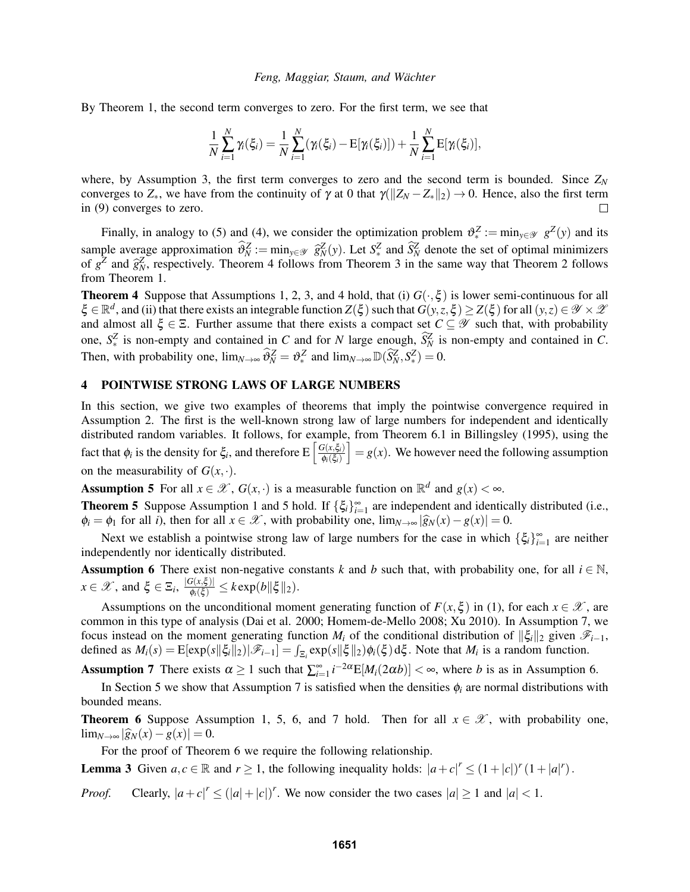By Theorem 1, the second term converges to zero. For the first term, we see that

$$
\frac{1}{N}\sum_{i=1}^{N}\gamma_{i}(\xi_{i})=\frac{1}{N}\sum_{i=1}^{N}(\gamma_{i}(\xi_{i})-\mathrm{E}[\gamma_{i}(\xi_{i})])+\frac{1}{N}\sum_{i=1}^{N}\mathrm{E}[\gamma_{i}(\xi_{i})],
$$

where, by Assumption 3, the first term converges to zero and the second term is bounded. Since  $Z_N$ converges to  $Z_*$ , we have from the continuity of  $\gamma$  at 0 that  $\gamma(||Z_N - Z_*||_2) \to 0$ . Hence, also the first term in (9) converges to zero.

Finally, in analogy to (5) and (4), we consider the optimization problem  $\vartheta_*^Z := \min_{y \in \mathcal{Y}} g^Z(y)$  and its sample average approximation  $\hat{\theta}_N^Z := \min_{y \in \mathcal{Y}} \hat{g}_N^Z(y)$ . Let  $S_\epsilon^Z$  and  $\hat{S}_N^Z$  denote the set of optimal minimizers of  $g^Z$  and  $\hat{\theta}_N^Z$  respectively. Theorem 4 follows from Theorem 3 in the same way that T of  $g^{\overline{Z}}$  and  $\hat{g}^{\overline{Z}}_N$ , respectively. Theorem 4 follows from Theorem 3 in the same way that Theorem 2 follows from Theorem 1.

**Theorem 4** Suppose that Assumptions 1, 2, 3, and 4 hold, that (i)  $G(\cdot,\xi)$  is lower semi-continuous for all  $\xi \in \mathbb{R}^d$ , and (ii) that there exists an integrable function  $Z(\xi)$  such that  $G(y, z, \xi) \geq Z(\xi)$  for all  $(y, z) \in \mathcal{Y} \times \mathcal{Z}$ and almost all  $\xi \in \Xi$ . Further assume that there exists a compact set  $C \subseteq \mathscr{Y}$  such that, with probability one,  $S^Z_*$  is non-empty and contained in *C* and for *N* large enough,  $\hat{S}^Z_N$  is non-empty and contained in *C*. Then, with probability one,  $\lim_{N \to \infty} \widehat{\theta}_N^Z = \vartheta_*^Z$  and  $\lim_{N \to \infty} \mathbb{D}(\widehat{S}_N^Z, S_*^Z) = 0$ .

# 4 POINTWISE STRONG LAWS OF LARGE NUMBERS

In this section, we give two examples of theorems that imply the pointwise convergence required in Assumption 2. The first is the well-known strong law of large numbers for independent and identically distributed random variables. It follows, for example, from Theorem 6.1 in Billingsley (1995), using the fact that  $\phi_i$  is the density for  $\xi_i$ , and therefore  $E\left[\frac{G(x,\xi_i)}{\phi_i(\xi)}\right]$ φ*i*(ξ*i*)  $\big] = g(x)$ . We however need the following assumption on the measurability of  $G(x, \cdot)$ .

Assumption 5 For all  $x \in \mathcal{X}$ ,  $G(x, \cdot)$  is a measurable function on  $\mathbb{R}^d$  and  $g(x) < \infty$ .

**Theorem 5** Suppose Assumption 1 and 5 hold. If  $\{\xi_i\}_{i=1}^{\infty}$  are independent and identically distributed (i.e.,  $\phi_i = \phi_1$  for all *i*), then for all  $x \in \mathcal{X}$ , with probability one,  $\lim_{N \to \infty} |\widehat{g}_N(x) - g(x)| = 0$ .

Next we establish a pointwise strong law of large numbers for the case in which  $\{\xi_i\}_{i=1}^{\infty}$  are neither independently nor identically distributed.

**Assumption 6** There exist non-negative constants *k* and *b* such that, with probability one, for all  $i \in \mathbb{N}$ ,  $x \in \mathscr{X}$ , and  $\xi \in \Xi_i$ ,  $\frac{|G(x,\xi)|}{\phi_i(\xi)} \leq k \exp(b\|\xi\|_2)$ .

Assumptions on the unconditional moment generating function of  $F(x,\xi)$  in (1), for each  $x \in \mathcal{X}$ , are common in this type of analysis (Dai et al. 2000; Homem-de-Mello 2008; Xu 2010). In Assumption 7, we focus instead on the moment generating function *M<sub>i</sub>* of the conditional distribution of  $\|\xi_i\|_2$  given  $\mathcal{F}_{i-1}$ , defined as  $M_i(s) = \mathbb{E}[\exp(s||\xi_i||_2)|\mathscr{F}_{i-1}] = \int_{\Xi_i} \exp(s||\xi||_2)\phi_i(\xi) d\xi$ . Note that  $M_i$  is a random function.

Assumption 7 There exists  $\alpha \geq 1$  such that  $\sum_{i=1}^{\infty} i^{-2\alpha} E[M_i(2\alpha b)] < \infty$ , where *b* is as in Assumption 6.

In Section 5 we show that Assumption 7 is satisfied when the densities  $\phi_i$  are normal distributions with bounded means.

**Theorem 6** Suppose Assumption 1, 5, 6, and 7 hold. Then for all  $x \in \mathcal{X}$ , with probability one,  $\lim_{N\to\infty} |\widehat{g}_N(x) - g(x)| = 0.$ 

For the proof of Theorem 6 we require the following relationship.

**Lemma 3** Given  $a, c \in \mathbb{R}$  and  $r \ge 1$ , the following inequality holds:  $|a+c|^r \le (1+|c|)^r (1+|a|^r)$ .

*Proof.* Clearly,  $|a+c|^r \leq (|a|+|c|)^r$ . We now consider the two cases  $|a| \geq 1$  and  $|a| < 1$ .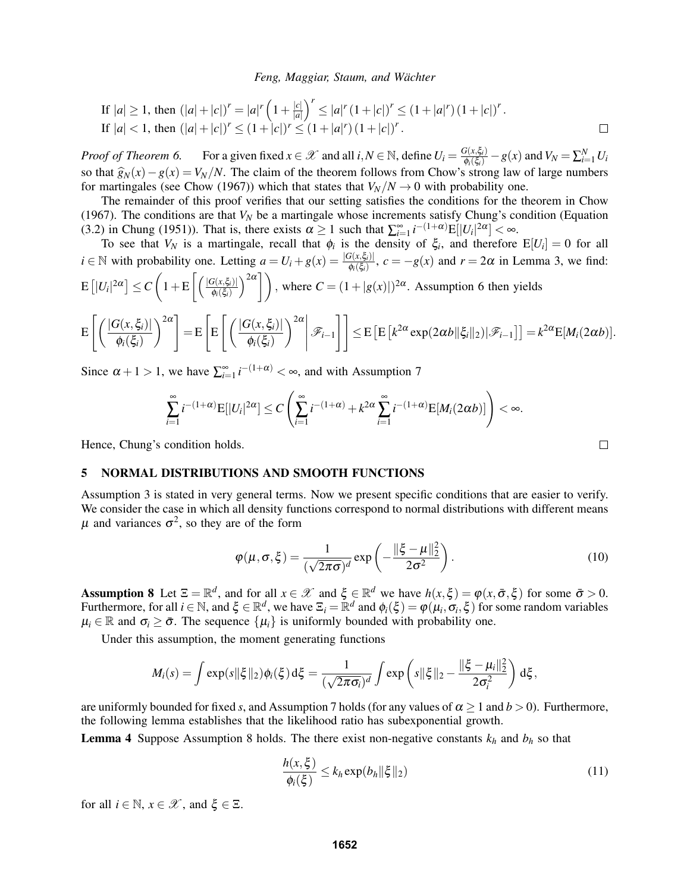If 
$$
|a| \ge 1
$$
, then  $(|a| + |c|)^r = |a|^r \left(1 + \frac{|c|}{|a|}\right)^r \le |a|^r (1 + |c|)^r \le (1 + |a|^r) (1 + |c|)^r$ .  
\nIf  $|a| < 1$ , then  $(|a| + |c|)^r \le (1 + |c|)^r \le (1 + |a|^r) (1 + |c|)^r$ .

*Proof of Theorem 6.* For a given fixed  $x \in \mathcal{X}$  and all  $i, N \in \mathbb{N}$ , define  $U_i = \frac{G(x, \xi_i)}{\phi_i(\xi_i)} - g(x)$  and  $V_N = \sum_{i=1}^N U_i$ so that  $\hat{g}_N(x) - g(x) = V_N/N$ . The claim of the theorem follows from Chow's strong law of large numbers for martingales (see Chow (1967)) which that states that  $V_N/N \to 0$  with probability one.

The remainder of this proof verifies that our setting satisfies the conditions for the theorem in Chow (1967). The conditions are that  $V_N$  be a martingale whose increments satisfy Chung's condition (Equation) (3.2) in Chung (1951)). That is, there exists  $\alpha \ge 1$  such that  $\sum_{i=1}^{\infty} i^{-\left(1+\alpha\right)} E[|U_i|^{2\alpha}] < \infty$ .

To see that  $V_N$  is a martingale, recall that  $\phi_i$  is the density of  $\xi_i$ , and therefore  $E[U_i] = 0$  for all  $i \in \mathbb{N}$  with probability one. Letting  $a = U_i + g(x) = \frac{|G(x, \xi_i)|}{\phi_i(\xi_i)}$ ,  $c = -g(x)$  and  $r = 2\alpha$  in Lemma 3, we find:  $\mathbb{E}\left[|U_i|^{2\alpha}\right] \leq C\left(1+\mathbb{E}\left[\left(\frac{|G(x,\xi_i)|}{\phi_i(\xi_i)}\right)\right]\right)$ φ*i*(ξ*i*)  $\binom{2\alpha}{\alpha}$ , where  $C = (1 + |g(x)|)^{2\alpha}$ . Assumption 6 then yields

$$
\mathsf{E}\left[\left(\frac{|G(x,\xi_i)|}{\phi_i(\xi_i)}\right)^{2\alpha}\right] = \mathsf{E}\left[\mathsf{E}\left[\left(\frac{|G(x,\xi_i)|}{\phi_i(\xi_i)}\right)^{2\alpha}\middle|\mathscr{F}_{i-1}\right]\right] \leq \mathsf{E}\left[\mathsf{E}\left[k^{2\alpha}\exp(2\alpha b\|\xi_i\|_2)|\mathscr{F}_{i-1}\right]\right] = k^{2\alpha}\mathsf{E}[M_i(2\alpha b)].
$$

Since  $\alpha + 1 > 1$ , we have  $\sum_{i=1}^{\infty} i^{-(1+\alpha)} < \infty$ , and with Assumption 7

$$
\sum_{i=1}^{\infty} i^{-(1+\alpha)} \mathbb{E}[|U_i|^{2\alpha}] \leq C \left( \sum_{i=1}^{\infty} i^{-(1+\alpha)} + k^{2\alpha} \sum_{i=1}^{\infty} i^{-(1+\alpha)} \mathbb{E}[M_i(2\alpha b)] \right) < \infty.
$$

Hence, Chung's condition holds.

## 5 NORMAL DISTRIBUTIONS AND SMOOTH FUNCTIONS

Assumption 3 is stated in very general terms. Now we present specific conditions that are easier to verify. We consider the case in which all density functions correspond to normal distributions with different means  $\mu$  and variances  $\sigma^2$ , so they are of the form

$$
\varphi(\mu,\sigma,\xi) = \frac{1}{(\sqrt{2\pi\sigma})^d} \exp\left(-\frac{\|\xi-\mu\|_2^2}{2\sigma^2}\right).
$$
 (10)

Assumption 8 Let  $\Xi = \mathbb{R}^d$ , and for all  $x \in \mathcal{X}$  and  $\xi \in \mathbb{R}^d$  we have  $h(x, \xi) = \varphi(x, \bar{\sigma}, \xi)$  for some  $\bar{\sigma} > 0$ . Furthermore, for all  $i \in \mathbb{N}$ , and  $\xi \in \mathbb{R}^d$ , we have  $\Xi_i = \mathbb{R}^d$  and  $\phi_i(\xi) = \phi(\mu_i, \sigma_i, \xi)$  for some random variables  $\mu_i \in \mathbb{R}$  and  $\sigma_i \geq \bar{\sigma}$ . The sequence  $\{\mu_i\}$  is uniformly bounded with probability one.

Under this assumption, the moment generating functions

$$
M_i(s) = \int \exp(s||\xi||_2)\phi_i(\xi) d\xi = \frac{1}{(\sqrt{2\pi\sigma_i})^d} \int \exp\left(s||\xi||_2 - \frac{||\xi - \mu_i||_2^2}{2\sigma_i^2}\right) d\xi,
$$

are uniformly bounded for fixed *s*, and Assumption 7 holds (for any values of  $\alpha \ge 1$  and  $b > 0$ ). Furthermore, the following lemma establishes that the likelihood ratio has subexponential growth.

**Lemma 4** Suppose Assumption 8 holds. The there exist non-negative constants  $k_h$  and  $b_h$  so that

$$
\frac{h(x,\xi)}{\phi_i(\xi)} \le k_h \exp(b_h ||\xi||_2)
$$
\n(11)

for all  $i \in \mathbb{N}$ ,  $x \in \mathcal{X}$ , and  $\xi \in \Xi$ .

 $\Box$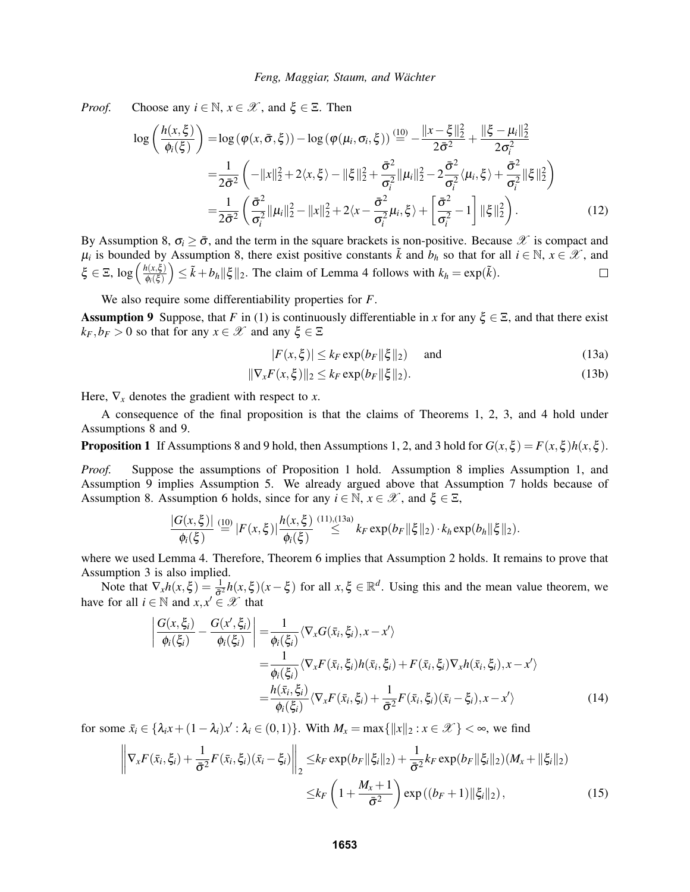*Proof.* Choose any  $i \in \mathbb{N}$ ,  $x \in \mathcal{X}$ , and  $\xi \in \Xi$ . Then

$$
\log\left(\frac{h(x,\xi)}{\phi_i(\xi)}\right) = \log\left(\varphi(x,\bar{\sigma},\xi)\right) - \log\left(\varphi(\mu_i,\sigma_i,\xi)\right) \stackrel{(10)}{=} - \frac{\|x-\xi\|_2^2}{2\bar{\sigma}^2} + \frac{\|\xi-\mu_i\|_2^2}{2\sigma_i^2}
$$
\n
$$
= \frac{1}{2\bar{\sigma}^2} \left( -\|x\|_2^2 + 2\langle x,\xi\rangle - \|\xi\|_2^2 + \frac{\bar{\sigma}^2}{\sigma_i^2} \|\mu_i\|_2^2 - 2\frac{\bar{\sigma}^2}{\sigma_i^2} \langle \mu_i,\xi\rangle + \frac{\bar{\sigma}^2}{\sigma_i^2} \|\xi\|_2^2 \right)
$$
\n
$$
= \frac{1}{2\bar{\sigma}^2} \left( \frac{\bar{\sigma}^2}{\sigma_i^2} \|\mu_i\|_2^2 - \|x\|_2^2 + 2\langle x-\frac{\bar{\sigma}^2}{\sigma_i^2}\mu_i,\xi\rangle + \left[\frac{\bar{\sigma}^2}{\sigma_i^2} - 1\right] \|\xi\|_2^2 \right). \tag{12}
$$

By Assumption 8,  $\sigma_i \geq \bar{\sigma}$ , and the term in the square brackets is non-positive. Because  $\mathscr X$  is compact and  $\mu_i$  is bounded by Assumption 8, there exist positive constants  $\tilde{k}$  and  $b_h$  so that for all  $i \in \mathbb{N}$ ,  $x \in \mathscr{X}$ , and  $\xi \in \Xi$ ,  $\log \left( \frac{h(x,\xi)}{\phi(\xi)} \right)$  $\left(\sum_{k=1}^{n} \sum_{k=1}^{n} |z_k|^2\right) \leq \tilde{k} + b_h \|\xi\|_2$ . The claim of Lemma 4 follows with  $k_h = \exp(\tilde{k})$ .  $\Box$  $\pmb{\phi}_i(\pmb{\xi})$ 

We also require some differentiability properties for *F*.

**Assumption 9** Suppose, that *F* in (1) is continuously differentiable in *x* for any  $\xi \in \Sigma$ , and that there exist  $k_F$ ,  $b_F > 0$  so that for any  $x \in \mathcal{X}$  and any  $\xi \in \Xi$ 

$$
|F(x,\xi)| \le k_F \exp(b_F \|\xi\|_2) \quad \text{and} \tag{13a}
$$

$$
\|\nabla_x F(x,\xi)\|_2 \le k_F \exp(b_F \|\xi\|_2). \tag{13b}
$$

Here,  $\nabla_x$  denotes the gradient with respect to *x*.

A consequence of the final proposition is that the claims of Theorems 1, 2, 3, and 4 hold under Assumptions 8 and 9.

**Proposition 1** If Assumptions 8 and 9 hold, then Assumptions 1, 2, and 3 hold for  $G(x, \xi) = F(x, \xi)h(x, \xi)$ .

*Proof.* Suppose the assumptions of Proposition 1 hold. Assumption 8 implies Assumption 1, and Assumption 9 implies Assumption 5. We already argued above that Assumption 7 holds because of Assumption 8. Assumption 6 holds, since for any  $i \in \mathbb{N}$ ,  $x \in \mathcal{X}$ , and  $\xi \in \Xi$ ,

$$
\frac{|G(x,\xi)|}{\phi_i(\xi)} \stackrel{(10)}{=} |F(x,\xi)| \frac{h(x,\xi)}{\phi_i(\xi)} \stackrel{(11),(13a)}{\leq} k_F \exp(b_F \|\xi\|_2) \cdot k_h \exp(b_h \|\xi\|_2).
$$

where we used Lemma 4. Therefore, Theorem 6 implies that Assumption 2 holds. It remains to prove that Assumption 3 is also implied.

Note that  $\nabla_x h(x,\xi) = \frac{1}{\sigma^2} h(x,\xi)(x-\xi)$  for all  $x,\xi \in \mathbb{R}^d$ . Using this and the mean value theorem, we have for all  $i \in \mathbb{N}$  and  $x, x' \in \mathcal{X}$  that

$$
\left| \frac{G(x,\xi_i)}{\phi_i(\xi_i)} - \frac{G(x',\xi_i)}{\phi_i(\xi_i)} \right| = \frac{1}{\phi_i(\xi_i)} \langle \nabla_x G(\bar{x}_i, \xi_i), x - x' \rangle
$$
  
\n
$$
= \frac{1}{\phi_i(\xi_i)} \langle \nabla_x F(\bar{x}_i, \xi_i) h(\bar{x}_i, \xi_i) + F(\bar{x}_i, \xi_i) \nabla_x h(\bar{x}_i, \xi_i), x - x' \rangle
$$
  
\n
$$
= \frac{h(\bar{x}_i, \xi_i)}{\phi_i(\xi_i)} \langle \nabla_x F(\bar{x}_i, \xi_i) + \frac{1}{\sigma^2} F(\bar{x}_i, \xi_i) (\bar{x}_i - \xi_i), x - x' \rangle
$$
(14)

for some  $\bar{x}_i \in \{\lambda_i x + (1 - \lambda_i)x': \lambda_i \in (0, 1)\}\$ . With  $M_x = \max\{\|x\|_2 : x \in \mathcal{X}\} < \infty$ , we find

$$
\left\| \nabla_{x} F(\bar{x}_{i}, \xi_{i}) + \frac{1}{\bar{\sigma}^{2}} F(\bar{x}_{i}, \xi_{i}) (\bar{x}_{i} - \xi_{i}) \right\|_{2} \leq k_{F} \exp(b_{F} \|\xi_{i}\|_{2}) + \frac{1}{\bar{\sigma}^{2}} k_{F} \exp(b_{F} \|\xi_{i}\|_{2}) (M_{x} + \|\xi_{i}\|_{2})
$$
  

$$
\leq k_{F} \left( 1 + \frac{M_{x} + 1}{\bar{\sigma}^{2}} \right) \exp((b_{F} + 1) \|\xi_{i}\|_{2}), \tag{15}
$$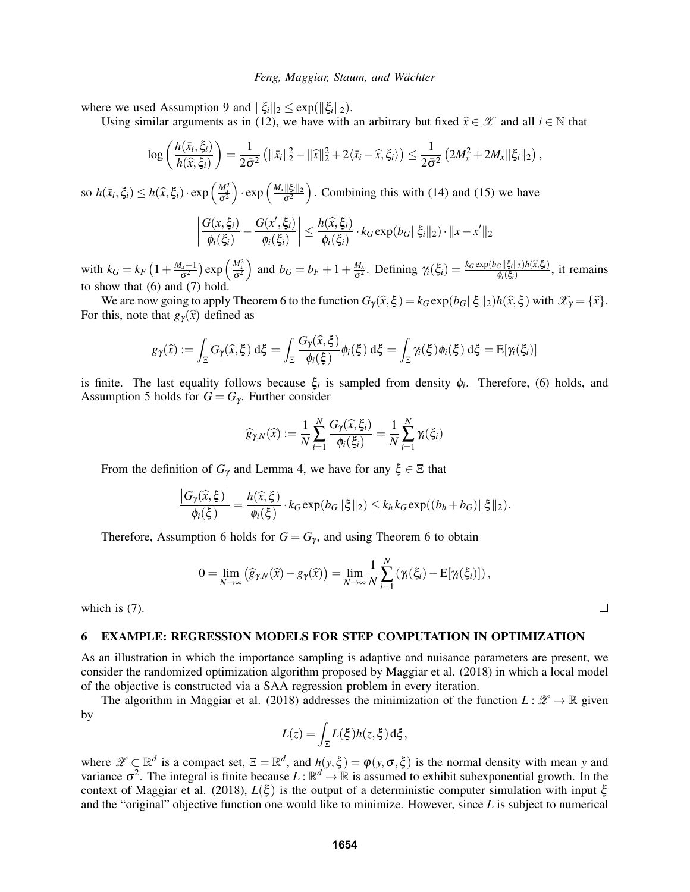where we used Assumption 9 and  $\|\xi_i\|_2 \leq \exp(\|\xi_i\|_2)$ .

Using similar arguments as in (12), we have with an arbitrary but fixed  $\hat{x} \in \mathcal{X}$  and all  $i \in \mathbb{N}$  that

$$
\log\left(\frac{h(\bar{x}_i,\xi_i)}{h(\widehat{x},\xi_i)}\right)=\frac{1}{2\bar{\sigma}^2}\left(\|\bar{x}_i\|_2^2-\|\widehat{x}\|_2^2+2\langle\bar{x}_i-\widehat{x},\xi_i\rangle\right)\leq\frac{1}{2\bar{\sigma}^2}\left(2M_x^2+2M_x\|\xi_i\|_2\right),
$$

so  $h(\bar{x}_i, \xi_i) \leq h(\hat{x}, \xi_i) \cdot \exp\left(\frac{M_x^2}{\bar{\sigma}^2}\right) \cdot \exp\left(\frac{M_x ||\xi_i||_2}{\bar{\sigma}^2}\right)$  $\frac{\|\xi_i\|_2}{\sigma^2}$ . Combining this with (14) and (15) we have

$$
\left|\frac{G(x,\xi_i)}{\phi_i(\xi_i)}-\frac{G(x',\xi_i)}{\phi_i(\xi_i)}\right|\leq \frac{h(\widehat{x},\xi_i)}{\phi_i(\xi_i)}\cdot k_G\exp(b_G\|\xi_i\|_2)\cdot\|x-x'\|_2
$$

with  $k_G = k_F \left(1 + \frac{M_x + 1}{\bar{\sigma}^2}\right)$  $\left(\frac{M_x^2}{\bar{\sigma}^2}\right)$  exp $\left(\frac{M_x^2}{\bar{\sigma}^2}\right)$  and  $b_G = b_F + 1 + \frac{M_x}{\bar{\sigma}^2}$  $\frac{M_x}{\sigma^2}$ . Defining  $\gamma_i(\xi_i) = \frac{k_G \exp(b_G ||\xi_i||_2)h(\hat{x}, \xi_i)}{\phi_i(\xi_i)}$ , it remains to show that (6) and (7) hold.

We are now going to apply Theorem 6 to the function  $G_\gamma(\hat{x}, \xi) = k_G \exp(b_G ||\xi||_2) h(\hat{x}, \xi)$  with  $\mathcal{X}_\gamma = {\hat{x}}$ . For this, note that  $g_{\gamma}(\hat{x})$  defined as

$$
g_{\gamma}(\widehat{x}) := \int_{\Xi} G_{\gamma}(\widehat{x}, \xi) d\xi = \int_{\Xi} \frac{G_{\gamma}(\widehat{x}, \xi)}{\phi_{i}(\xi)} \phi_{i}(\xi) d\xi = \int_{\Xi} \gamma_{i}(\xi) \phi_{i}(\xi) d\xi = \mathrm{E}[\gamma_{i}(\xi_{i})]
$$

is finite. The last equality follows because  $\xi$  is sampled from density  $\phi$ . Therefore, (6) holds, and Assumption 5 holds for  $G = G_\gamma$ . Further consider

$$
\widehat{g}_{\gamma,N}(\widehat{x}) := \frac{1}{N} \sum_{i=1}^N \frac{G_{\gamma}(\widehat{x}, \xi_i)}{\phi_i(\xi_i)} = \frac{1}{N} \sum_{i=1}^N \gamma_i(\xi_i)
$$

From the definition of  $G_\gamma$  and Lemma 4, we have for any  $\xi \in \Xi$  that

$$
\frac{\big|G_{\gamma}(\widehat{x},\xi)\big|}{\phi_{i}(\xi)}=\frac{h(\widehat{x},\xi)}{\phi_{i}(\xi)}\cdot k_{G}\exp(b_{G}\|\xi\|_{2})\leq k_{h}k_{G}\exp((b_{h}+b_{G})\|\xi\|_{2}).
$$

Therefore, Assumption 6 holds for  $G = G<sub>\gamma</sub>$ , and using Theorem 6 to obtain

$$
0 = \lim_{N \to \infty} (\widehat{g}_{\gamma,N}(\widehat{x}) - g_{\gamma}(\widehat{x})) = \lim_{N \to \infty} \frac{1}{N} \sum_{i=1}^{N} (\gamma_i(\xi_i) - E[\gamma_i(\xi_i)]),
$$

which is (7).

#### 6 EXAMPLE: REGRESSION MODELS FOR STEP COMPUTATION IN OPTIMIZATION

As an illustration in which the importance sampling is adaptive and nuisance parameters are present, we consider the randomized optimization algorithm proposed by Maggiar et al. (2018) in which a local model of the objective is constructed via a SAA regression problem in every iteration.

The algorithm in Maggiar et al. (2018) addresses the minimization of the function  $\overline{L}$  :  $\mathscr{Z} \to \mathbb{R}$  given by

$$
\overline{L}(z) = \int_{\Xi} L(\xi)h(z,\xi) d\xi,
$$

where  $\mathscr{Z} \subset \mathbb{R}^d$  is a compact set,  $\Xi = \mathbb{R}^d$ , and  $h(y, \xi) = \varphi(y, \sigma, \xi)$  is the normal density with mean y and variance  $\sigma^2$ . The integral is finite because  $L : \mathbb{R}^d \to \mathbb{R}$  is assumed to exhibit subexponential growth. In the context of Maggiar et al. (2018), *L*(ξ ) is the output of a deterministic computer simulation with input ξ and the "original" objective function one would like to minimize. However, since *L* is subject to numerical

 $\Box$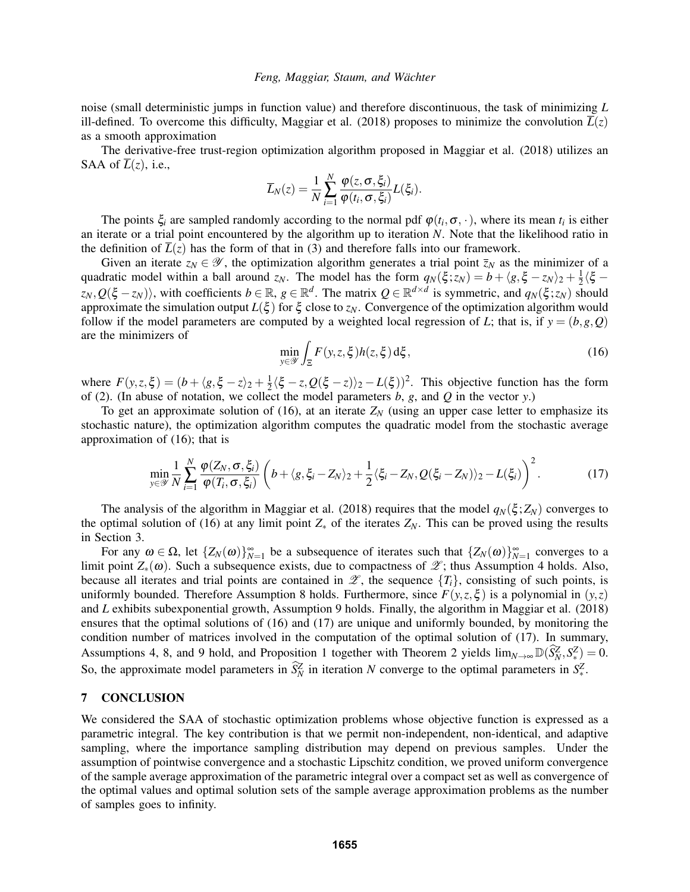noise (small deterministic jumps in function value) and therefore discontinuous, the task of minimizing *L* ill-defined. To overcome this difficulty, Maggiar et al. (2018) proposes to minimize the convolution  $L(z)$ as a smooth approximation

The derivative-free trust-region optimization algorithm proposed in Maggiar et al. (2018) utilizes an SAA of  $\overline{L}(z)$ , i.e.,

$$
\overline{L}_N(z) = \frac{1}{N} \sum_{i=1}^N \frac{\varphi(z, \sigma, \xi_i)}{\varphi(t_i, \sigma, \xi_i)} L(\xi_i).
$$

The points  $\xi_i$  are sampled randomly according to the normal pdf  $\varphi(t_i, \sigma, \cdot)$ , where its mean  $t_i$  is either an iterate or a trial point encountered by the algorithm up to iteration *N*. Note that the likelihood ratio in the definition of  $\overline{L}(z)$  has the form of that in (3) and therefore falls into our framework.

Given an iterate  $z_N \in \mathscr{Y}$ , the optimization algorithm generates a trial point  $\overline{z}_N$  as the minimizer of a quadratic model within a ball around *z<sub>N</sub>*. The model has the form  $q_N(\xi; z_N) = b + \langle g, \xi - z_N \rangle_2 + \frac{1}{2}\langle \xi - z_N \rangle_2$  $z_N$ ,  $Q(\xi - z_N)$ , with coefficients  $b \in \mathbb{R}$ ,  $g \in \mathbb{R}^d$ . The matrix  $Q \in \mathbb{R}^{d \times d}$  is symmetric, and  $q_N(\xi; z_N)$  should approximate the simulation output  $L(\xi)$  for  $\xi$  close to  $z_N$ . Convergence of the optimization algorithm would follow if the model parameters are computed by a weighted local regression of *L*; that is, if  $y = (b, g, Q)$ are the minimizers of

$$
\min_{y \in \mathcal{Y}} \int_{\Xi} F(y, z, \xi) h(z, \xi) d\xi, \tag{16}
$$

where  $F(y, z, \xi) = (b + \langle g, \xi - z \rangle) + \frac{1}{2}$  $\frac{1}{2}\langle \xi - z, Q(\xi - z)\rangle_2 - L(\xi)$ <sup>2</sup>. This objective function has the form of (2). (In abuse of notation, we collect the model parameters *b*, *g*, and *Q* in the vector *y*.)

To get an approximate solution of (16), at an iterate  $Z_N$  (using an upper case letter to emphasize its stochastic nature), the optimization algorithm computes the quadratic model from the stochastic average approximation of (16); that is

$$
\min_{y \in \mathscr{Y}} \frac{1}{N} \sum_{i=1}^N \frac{\varphi(Z_N, \sigma, \xi_i)}{\varphi(T_i, \sigma, \xi_i)} \left( b + \langle g, \xi_i - Z_N \rangle_2 + \frac{1}{2} \langle \xi_i - Z_N, Q(\xi_i - Z_N) \rangle_2 - L(\xi_i) \right)^2.
$$
 (17)

The analysis of the algorithm in Maggiar et al. (2018) requires that the model  $q_N(\xi; Z_N)$  converges to the optimal solution of (16) at any limit point  $Z_*$  of the iterates  $Z_N$ . This can be proved using the results in Section 3.

For any  $\omega \in \Omega$ , let  $\{Z_N(\omega)\}_{N=1}^{\infty}$  be a subsequence of iterates such that  $\{Z_N(\omega)\}_{N=1}^{\infty}$  converges to a limit point  $Z_*(\omega)$ . Such a subsequence exists, due to compactness of  $\mathscr{Z}$ ; thus Assumption 4 holds. Also, because all iterates and trial points are contained in  $\mathscr{L}$ , the sequence  $\{T_i\}$ , consisting of such points, is uniformly bounded. Therefore Assumption 8 holds. Furthermore, since  $F(y, z, \xi)$  is a polynomial in  $(y, z)$ and *L* exhibits subexponential growth, Assumption 9 holds. Finally, the algorithm in Maggiar et al. (2018) ensures that the optimal solutions of (16) and (17) are unique and uniformly bounded, by monitoring the condition number of matrices involved in the computation of the optimal solution of (17). In summary, Assumptions 4, 8, and 9 hold, and Proposition 1 together with Theorem 2 yields  $\lim_{N\to\infty} \mathbb{D}(\widehat{S}_N^Z, S_{*Z}^Z) = 0$ . So, the approximate model parameters in  $\tilde{S}_N^Z$  in iteration *N* converge to the optimal parameters in  $S_*^Z$ .

### 7 CONCLUSION

We considered the SAA of stochastic optimization problems whose objective function is expressed as a parametric integral. The key contribution is that we permit non-independent, non-identical, and adaptive sampling, where the importance sampling distribution may depend on previous samples. Under the assumption of pointwise convergence and a stochastic Lipschitz condition, we proved uniform convergence of the sample average approximation of the parametric integral over a compact set as well as convergence of the optimal values and optimal solution sets of the sample average approximation problems as the number of samples goes to infinity.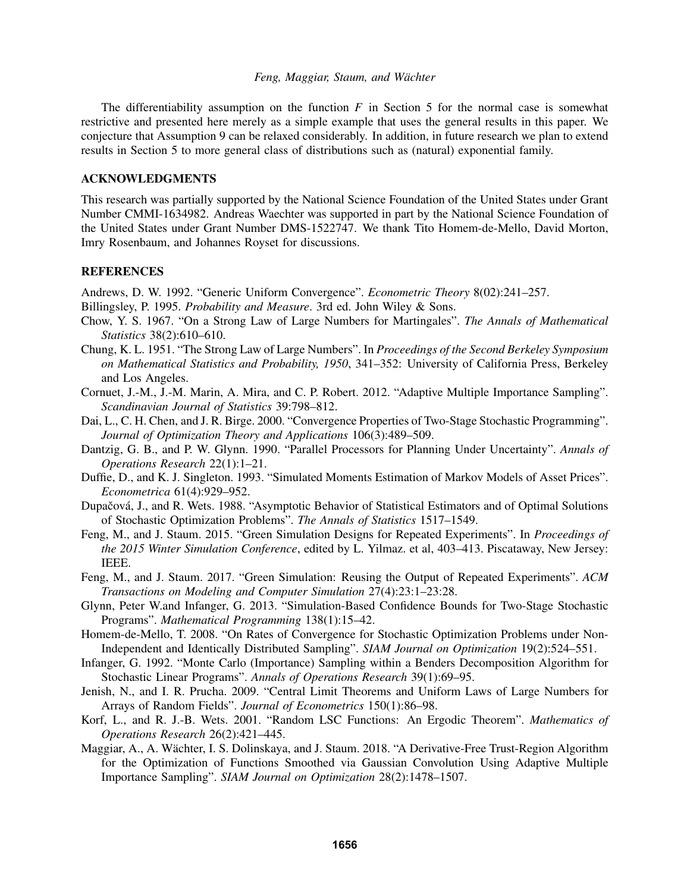The differentiability assumption on the function *F* in Section 5 for the normal case is somewhat restrictive and presented here merely as a simple example that uses the general results in this paper. We conjecture that Assumption 9 can be relaxed considerably. In addition, in future research we plan to extend results in Section 5 to more general class of distributions such as (natural) exponential family.

# ACKNOWLEDGMENTS

This research was partially supported by the National Science Foundation of the United States under Grant Number CMMI-1634982. Andreas Waechter was supported in part by the National Science Foundation of the United States under Grant Number DMS-1522747. We thank Tito Homem-de-Mello, David Morton, Imry Rosenbaum, and Johannes Royset for discussions.

### **REFERENCES**

Andrews, D. W. 1992. "Generic Uniform Convergence". *Econometric Theory* 8(02):241–257.

- Billingsley, P. 1995. *Probability and Measure*. 3rd ed. John Wiley & Sons.
- Chow, Y. S. 1967. "On a Strong Law of Large Numbers for Martingales". *The Annals of Mathematical Statistics* 38(2):610–610.
- Chung, K. L. 1951. "The Strong Law of Large Numbers". In *Proceedings of the Second Berkeley Symposium on Mathematical Statistics and Probability, 1950*, 341–352: University of California Press, Berkeley and Los Angeles.
- Cornuet, J.-M., J.-M. Marin, A. Mira, and C. P. Robert. 2012. "Adaptive Multiple Importance Sampling". *Scandinavian Journal of Statistics* 39:798–812.
- Dai, L., C. H. Chen, and J. R. Birge. 2000. "Convergence Properties of Two-Stage Stochastic Programming". *Journal of Optimization Theory and Applications* 106(3):489–509.
- Dantzig, G. B., and P. W. Glynn. 1990. "Parallel Processors for Planning Under Uncertainty". *Annals of Operations Research* 22(1):1–21.
- Duffie, D., and K. J. Singleton. 1993. "Simulated Moments Estimation of Markov Models of Asset Prices". *Econometrica* 61(4):929–952.
- Dupačová, J., and R. Wets. 1988. "Asymptotic Behavior of Statistical Estimators and of Optimal Solutions of Stochastic Optimization Problems". *The Annals of Statistics* 1517–1549.
- Feng, M., and J. Staum. 2015. "Green Simulation Designs for Repeated Experiments". In *Proceedings of the 2015 Winter Simulation Conference*, edited by L. Yilmaz. et al, 403–413. Piscataway, New Jersey: IEEE.
- Feng, M., and J. Staum. 2017. "Green Simulation: Reusing the Output of Repeated Experiments". *ACM Transactions on Modeling and Computer Simulation* 27(4):23:1–23:28.
- Glynn, Peter W.and Infanger, G. 2013. "Simulation-Based Confidence Bounds for Two-Stage Stochastic Programs". *Mathematical Programming* 138(1):15–42.
- Homem-de-Mello, T. 2008. "On Rates of Convergence for Stochastic Optimization Problems under Non-Independent and Identically Distributed Sampling". *SIAM Journal on Optimization* 19(2):524–551.
- Infanger, G. 1992. "Monte Carlo (Importance) Sampling within a Benders Decomposition Algorithm for Stochastic Linear Programs". *Annals of Operations Research* 39(1):69–95.
- Jenish, N., and I. R. Prucha. 2009. "Central Limit Theorems and Uniform Laws of Large Numbers for Arrays of Random Fields". *Journal of Econometrics* 150(1):86–98.
- Korf, L., and R. J.-B. Wets. 2001. "Random LSC Functions: An Ergodic Theorem". *Mathematics of Operations Research* 26(2):421–445.
- Maggiar, A., A. Wächter, I. S. Dolinskaya, and J. Staum. 2018. "A Derivative-Free Trust-Region Algorithm for the Optimization of Functions Smoothed via Gaussian Convolution Using Adaptive Multiple Importance Sampling". *SIAM Journal on Optimization* 28(2):1478–1507.